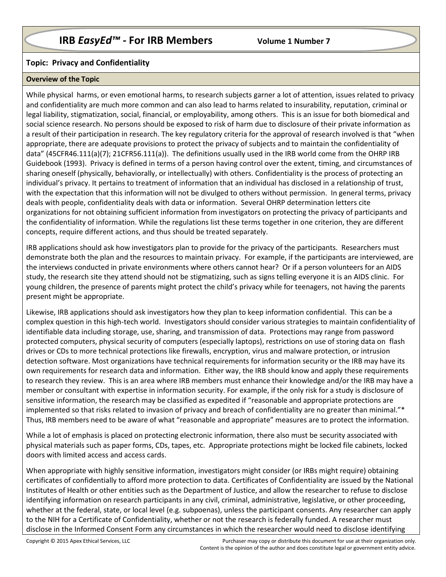# **Topic: Privacy and Confidentiality**

## **Overview of the Topic**

While physical harms, or even emotional harms, to research subjects garner a lot of attention, issues related to privacy and confidentiality are much more common and can also lead to harms related to insurability, reputation, criminal or legal liability, stigmatization, social, financial, or employability, among others. This is an issue for both biomedical and social science research. No persons should be exposed to risk of harm due to disclosure of their private information as a result of their participation in research. The key regulatory criteria for the approval of research involved is that "when appropriate, there are adequate provisions to protect the privacy of subjects and to maintain the confidentiality of data" (45CFR46.111(a)(7); 21CFR56.111(a)). The definitions usually used in the IRB world come from the OHRP IRB Guidebook (1993). Privacy is defined in terms of a person having control over the extent, timing, and circumstances of sharing oneself (physically, behaviorally, or intellectually) with others. Confidentiality is the process of protecting an individual's privacy. It pertains to treatment of information that an individual has disclosed in a relationship of trust, with the expectation that this information will not be divulged to others without permission. In general terms, privacy deals with people, confidentiality deals with data or information. Several OHRP determination letters cite organizations for not obtaining sufficient information from investigators on protecting the privacy of participants and the confidentiality of information. While the regulations list these terms together in one criterion, they are different concepts, require different actions, and thus should be treated separately.

IRB applications should ask how investigators plan to provide for the privacy of the participants. Researchers must demonstrate both the plan and the resources to maintain privacy. For example, if the participants are interviewed, are the interviews conducted in private environments where others cannot hear? Or if a person volunteers for an AIDS study, the research site they attend should not be stigmatizing, such as signs telling everyone it is an AIDS clinic. For young children, the presence of parents might protect the child's privacy while for teenagers, not having the parents present might be appropriate.

Likewise, IRB applications should ask investigators how they plan to keep information confidential. This can be a complex question in this high-tech world. Investigators should consider various strategies to maintain confidentiality of identifiable data including storage, use, sharing, and transmission of data. Protections may range from password protected computers, physical security of computers (especially laptops), restrictions on use of storing data on flash drives or CDs to more technical protections like firewalls, encryption, virus and malware protection, or intrusion detection software. Most organizations have technical requirements for information security or the IRB may have its own requirements for research data and information. Either way, the IRB should know and apply these requirements to research they review. This is an area where IRB members must enhance their knowledge and/or the IRB may have a member or consultant with expertise in information security. For example, if the only risk for a study is disclosure of sensitive information, the research may be classified as expedited if "reasonable and appropriate protections are implemented so that risks related to invasion of privacy and breach of confidentiality are no greater than minimal."\* Thus, IRB members need to be aware of what "reasonable and appropriate" measures are to protect the information.

While a lot of emphasis is placed on protecting electronic information, there also must be security associated with physical materials such as paper forms, CDs, tapes, etc. Appropriate protections might be locked file cabinets, locked doors with limited access and access cards.

When appropriate with highly sensitive information, investigators might consider (or IRBs might require) obtaining certificates of confidentially to afford more protection to data. Certificates of Confidentiality are issued by the National Institutes of Health or other entities such as the Department of Justice, and allow the researcher to refuse to disclose identifying information on research participants in any civil, criminal, administrative, legislative, or other proceeding, whether at the federal, state, or local level (e.g. subpoenas), unless the participant consents. Any researcher can apply to the NIH for a Certificate of Confidentiality, whether or not the research is federally funded. A researcher must disclose in the Informed Consent Form any circumstances in which the researcher would need to disclose identifying